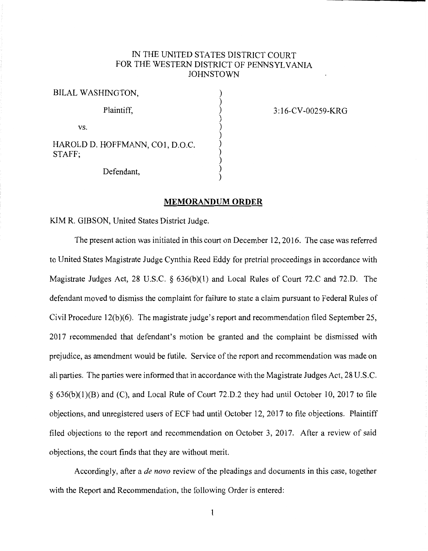## IN THE UNITED STATES DISTRICT COURT FOR THE WESTERN DISTRICT OF PENNSYLVANIA **JOHNSTOWN**

) ) ) ) ) ) ) ) ) ) )

BILAL WASHINGTON, Plaintiff, vs. HAROLD D. HOFFMANN, COl, D.O.C. STAFF; Defendant,

3: l 6-CV-00259-KRG

## **MEMORANDUM ORDER**

KIM R. GIBSON, United States District Judge.

The present action was initiated in this court on December 12, 2016. The case was referred to United States Magistrate Judge Cynthia Reed Eddy for pretrial proceedings in accordance with Magistrate Judges Act, 28 U.S.C. *§* 636(b)(l) and Local Rules of Court 72.C and 72.D. The defendant moved to dismiss the complaint for failure to state a claim pursuant to Federal Rules of Civil Procedure 12(b)(6). The magistrate judge's report and recommendation filed September 25, 2017 recommended that defendant's motion be granted and the complaint be dismissed with prejudice, as amendment would be futile. Service of the report and recommendation was made on all parties. The parties were informed that in accordance with the Magistrate Judges Act, 28 U.S.C. § 636(b)(l)(B) and (C), and Local Rule of Court 72.D.2 they had until October 10, 2017 to file objections, and unregistered users of ECF had until October 12, 2017 to file objections. Plaintiff filed objections to the report and recommendation on October 3, 2017. After a review of said objections, the court finds that they are without merit.

Accordingly, after a *de nova* review of the pleadings and documents in this case, together with the Report and Recommendation, the following Order is entered: